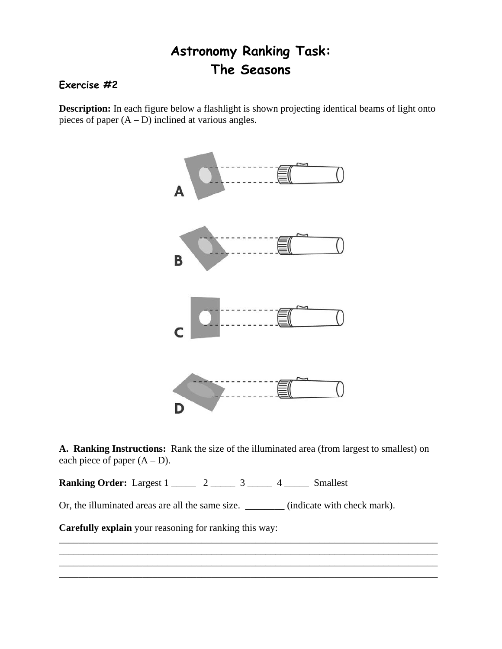## **Astronomy Ranking Task: The Seasons**

## **Exercise #2**

**Description:** In each figure below a flashlight is shown projecting identical beams of light onto pieces of paper  $(A - D)$  inclined at various angles.



**A. Ranking Instructions:** Rank the size of the illuminated area (from largest to smallest) on each piece of paper  $(A - D)$ .

\_\_\_\_\_\_\_\_\_\_\_\_\_\_\_\_\_\_\_\_\_\_\_\_\_\_\_\_\_\_\_\_\_\_\_\_\_\_\_\_\_\_\_\_\_\_\_\_\_\_\_\_\_\_\_\_\_\_\_\_\_\_\_\_\_\_\_\_\_\_\_\_\_\_\_\_\_ \_\_\_\_\_\_\_\_\_\_\_\_\_\_\_\_\_\_\_\_\_\_\_\_\_\_\_\_\_\_\_\_\_\_\_\_\_\_\_\_\_\_\_\_\_\_\_\_\_\_\_\_\_\_\_\_\_\_\_\_\_\_\_\_\_\_\_\_\_\_\_\_\_\_\_\_\_ \_\_\_\_\_\_\_\_\_\_\_\_\_\_\_\_\_\_\_\_\_\_\_\_\_\_\_\_\_\_\_\_\_\_\_\_\_\_\_\_\_\_\_\_\_\_\_\_\_\_\_\_\_\_\_\_\_\_\_\_\_\_\_\_\_\_\_\_\_\_\_\_\_\_\_\_\_ \_\_\_\_\_\_\_\_\_\_\_\_\_\_\_\_\_\_\_\_\_\_\_\_\_\_\_\_\_\_\_\_\_\_\_\_\_\_\_\_\_\_\_\_\_\_\_\_\_\_\_\_\_\_\_\_\_\_\_\_\_\_\_\_\_\_\_\_\_\_\_\_\_\_\_\_\_

**Ranking Order:** Largest 1 \_\_\_\_\_ 2 \_\_\_\_ 3 \_\_\_\_ 4 \_\_\_\_ Smallest

Or, the illuminated areas are all the same size. \_\_\_\_\_\_\_\_ (indicate with check mark).

**Carefully explain** your reasoning for ranking this way: